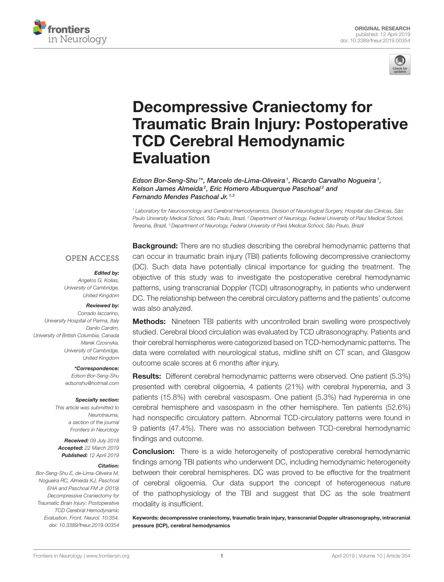



# Decompressive Craniectomy for [Traumatic Brain Injury: Postoperative](https://www.frontiersin.org/articles/10.3389/fneur.2019.00354/full) TCD Cerebral Hemodynamic **Evaluation**

[Edson Bor-Seng-Shu](http://loop.frontiersin.org/people/347860/overview)<sup>1\*</sup>, Marcelo de-Lima-Oliveira<sup>1</sup>, Ricardo Carvalho Nogueira<sup>1</sup>, Kelson James Almeida<sup>2</sup>, [Eric Homero Albuquerque Paschoal](http://loop.frontiersin.org/people/513498/overview)<sup>3</sup> and [Fernando Mendes Paschoal Jr.](http://loop.frontiersin.org/people/584343/overview) 1,3

<sup>1</sup> Laboratory for Neurosonology and Cerebral Hemodynamics, Division of Neurological Surgery, Hospital das Clinicas, São Paulo University Medical School, São Paulo, Brazil, <sup>2</sup> Department of Neurology, Federal University of Piauí Medical School, Teresina, Brazil, <sup>3</sup> Department of Neurology, Federal University of Pará Medical School, São Paulo, Brazil

#### **OPEN ACCESS**

#### Edited by:

Angelos G. Kolias, University of Cambridge, United Kingdom

#### Reviewed by:

Corrado Iaccarino, University Hospital of Parma, Italy Danilo Cardim, University of British Columbia, Canada Marek Czosnyka, University of Cambridge, United Kingdom

\*Correspondence:

Edson Bor-Seng-Shu [edsonshu@hotmail.com](mailto:edsonshu@hotmail.com)

#### Specialty section:

This article was submitted to Neurotrauma, a section of the journal Frontiers in Neurology

Received: 09 July 2018 Accepted: 22 March 2019 Published: 12 April 2019

#### Citation:

Bor-Seng-Shu E, de-Lima-Oliveira M, Nogueira RC, Almeida KJ, Paschoal EHA and Paschoal FM Jr (2019) Decompressive Craniectomy for Traumatic Brain Injury: Postoperative TCD Cerebral Hemodynamic Evaluation. Front. Neurol. 10:354. doi: [10.3389/fneur.2019.00354](https://doi.org/10.3389/fneur.2019.00354)

**Background:** There are no studies describing the cerebral hemodynamic patterns that can occur in traumatic brain injury (TBI) patients following decompressive craniectomy (DC). Such data have potentially clinical importance for guiding the treatment. The objective of this study was to investigate the postoperative cerebral hemodynamic patterns, using transcranial Doppler (TCD) ultrasonography, in patients who underwent DC. The relationship between the cerebral circulatory patterns and the patients' outcome was also analyzed.

**Methods:** Nineteen TBI patients with uncontrolled brain swelling were prospectively studied. Cerebral blood circulation was evaluated by TCD ultrasonography. Patients and their cerebral hemispheres were categorized based on TCD-hemodynamic patterns. The data were correlated with neurological status, midline shift on CT scan, and Glasgow outcome scale scores at 6 months after injury.

Results: Different cerebral hemodynamic patterns were observed. One patient (5.3%) presented with cerebral oligoemia, 4 patients (21%) with cerebral hyperemia, and 3 patients (15.8%) with cerebral vasospasm. One patient (5.3%) had hyperemia in one cerebral hemisphere and vasospasm in the other hemisphere. Ten patients (52.6%) had nonspecific circulatory pattern. Abnormal TCD-circulatory patterns were found in 9 patients (47.4%). There was no association between TCD-cerebral hemodynamic findings and outcome.

**Conclusion:** There is a wide heterogeneity of postoperative cerebral hemodynamic findings among TBI patients who underwent DC, including hemodynamic heterogeneity between their cerebral hemispheres. DC was proved to be effective for the treatment of cerebral oligoemia. Our data support the concept of heterogeneous nature of the pathophysiology of the TBI and suggest that DC as the sole treatment modality is insufficient.

Keywords: decompressive craniectomy, traumatic brain injury, transcranial Doppler ultrasonography, intracranial pressure (ICP), cerebral hemodynamics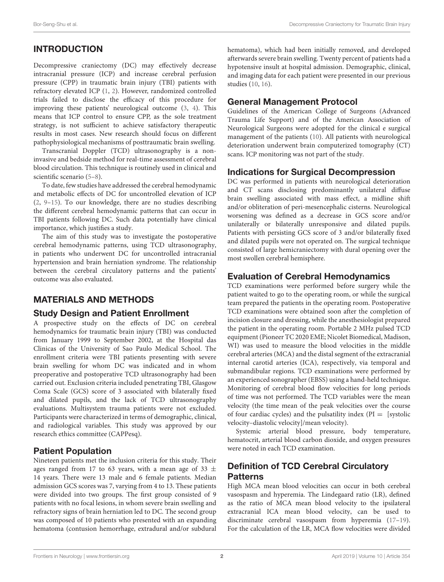## INTRODUCTION

Decompressive craniectomy (DC) may effectively decrease intracranial pressure (ICP) and increase cerebral perfusion pressure (CPP) in traumatic brain injury (TBI) patients with refractory elevated ICP [\(1,](#page-5-0) [2\)](#page-5-1). However, randomized controlled trials failed to disclose the efficacy of this procedure for improving these patients' neurological outcome [\(3,](#page-5-2) [4\)](#page-5-3). This means that ICP control to ensure CPP, as the sole treatment strategy, is not sufficient to achieve satisfactory therapeutic results in most cases. New research should focus on different pathophysiological mechanisms of posttraumatic brain swelling.

Transcranial Doppler (TCD) ultrasonography is a noninvasive and bedside method for real-time assessment of cerebral blood circulation. This technique is routinely used in clinical and scientific scenario [\(5](#page-5-4)[–8\)](#page-5-5).

To date, few studies have addressed the cerebral hemodynamic and metabolic effects of DC for uncontrolled elevation of ICP [\(2,](#page-5-1) [9](#page-5-6)[–15\)](#page-6-0). To our knowledge, there are no studies describing the different cerebral hemodynamic patterns that can occur in TBI patients following DC. Such data potentially have clinical importance, which justifies a study.

The aim of this study was to investigate the postoperative cerebral hemodynamic patterns, using TCD ultrasonography, in patients who underwent DC for uncontrolled intracranial hypertension and brain herniation syndrome. The relationship between the cerebral circulatory patterns and the patients' outcome was also evaluated.

### MATERIALS AND METHODS

#### Study Design and Patient Enrollment

A prospective study on the effects of DC on cerebral hemodynamics for traumatic brain injury (TBI) was conducted from January 1999 to September 2002, at the Hospital das Clinicas of the University of Sao Paulo Medical School. The enrollment criteria were TBI patients presenting with severe brain swelling for whom DC was indicated and in whom preoperative and postoperative TCD ultrasonography had been carried out. Exclusion criteria included penetrating TBI, Glasgow Coma Scale (GCS) score of 3 associated with bilaterally fixed and dilated pupils, and the lack of TCD ultrasonography evaluations. Multisystem trauma patients were not excluded. Participants were characterized in terms of demographic, clinical, and radiological variables. This study was approved by our research ethics committee (CAPPesq).

#### Patient Population

Nineteen patients met the inclusion criteria for this study. Their ages ranged from 17 to 63 years, with a mean age of 33  $\pm$ 14 years. There were 13 male and 6 female patients. Median admission GCS scores was 7, varying from 4 to 13. These patients were divided into two groups. The first group consisted of 9 patients with no focal lesions, in whom severe brain swelling and refractory signs of brain herniation led to DC. The second group was composed of 10 patients who presented with an expanding hematoma (contusion hemorrhage, extradural and/or subdural hematoma), which had been initially removed, and developed afterwards severe brain swelling. Twenty percent of patients had a hypotensive insult at hospital admission. Demographic, clinical, and imaging data for each patient were presented in our previous studies [\(10,](#page-5-7) [16\)](#page-6-1).

### General Management Protocol

Guidelines of the American College of Surgeons (Advanced Trauma Life Support) and of the American Association of Neurological Surgeons were adopted for the clinical e surgical management of the patients [\(10\)](#page-5-7). All patients with neurological deterioration underwent brain computerized tomography (CT) scans. ICP monitoring was not part of the study.

#### Indications for Surgical Decompression

DC was performed in patients with neurological deterioration and CT scans disclosing predominantly unilateral diffuse brain swelling associated with mass effect, a midline shift and/or obliteration of peri-mesencephalic cisterns. Neurological worsening was defined as a decrease in GCS score and/or unilaterally or bilaterally unresponsive and dilated pupils. Patients with persisting GCS score of 3 and/or bilaterally fixed and dilated pupils were not operated on. The surgical technique consisted of large hemicraniectomy with dural opening over the most swollen cerebral hemisphere.

### Evaluation of Cerebral Hemodynamics

TCD examinations were performed before surgery while the patient waited to go to the operating room, or while the surgical team prepared the patients in the operating room. Postoperative TCD examinations were obtained soon after the completion of incision closure and dressing, while the anesthesiologist prepared the patient in the operating room. Portable 2 MHz pulsed TCD equipment (Pioneer TC 2020 EME; Nicolet Biomedical, Madison, WI) was used to measure the blood velocities in the middle cerebral arteries (MCA) and the distal segment of the extracranial internal carotid arteries (ICA), respectively, via temporal and submandibular regions. TCD examinations were performed by an experienced sonographer (EBSS) using a hand-held technique. Monitoring of cerebral blood flow velocities for long periods of time was not performed. The TCD variables were the mean velocity (the time mean of the peak velocities over the course of four cardiac cycles) and the pulsatility index  $(PI = [systolic$ velocity–diastolic velocity]/mean velocity).

Systemic arterial blood pressure, body temperature, hematocrit, arterial blood carbon dioxide, and oxygen pressures were noted in each TCD examination.

### Definition of TCD Cerebral Circulatory Patterns

High MCA mean blood velocities can occur in both cerebral vasospasm and hyperemia. The Lindegaard ratio (LR), defined as the ratio of MCA mean blood velocity to the ipsilateral extracranial ICA mean blood velocity, can be used to discriminate cerebral vasospasm from hyperemia [\(17–](#page-6-2)[19\)](#page-6-3). For the calculation of the LR, MCA flow velocities were divided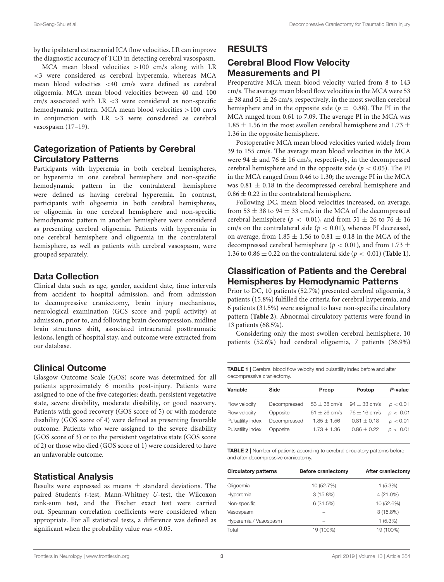by the ipsilateral extracranial ICA flow velocities. LR can improve the diagnostic accuracy of TCD in detecting cerebral vasospasm.

MCA mean blood velocities >100 cm/s along with LR <3 were considered as cerebral hyperemia, whereas MCA mean blood velocities <40 cm/s were defined as cerebral oligoemia. MCA mean blood velocities between 40 and 100 cm/s associated with LR <3 were considered as non-specific hemodynamic pattern. MCA mean blood velocities >100 cm/s in conjunction with LR >3 were considered as cerebral vasospasm (17-[19\)](#page-6-3).

#### Categorization of Patients by Cerebral Circulatory Patterns

Participants with hyperemia in both cerebral hemispheres, or hyperemia in one cerebral hemisphere and non-specific hemodynamic pattern in the contralateral hemisphere were defined as having cerebral hyperemia. In contrast, participants with oligoemia in both cerebral hemispheres, or oligoemia in one cerebral hemisphere and non-specific hemodynamic pattern in another hemisphere were considered as presenting cerebral oligoemia. Patients with hyperemia in one cerebral hemisphere and oligoemia in the contralateral hemisphere, as well as patients with cerebral vasospasm, were grouped separately.

#### Data Collection

Clinical data such as age, gender, accident date, time intervals from accident to hospital admission, and from admission to decompressive craniectomy, brain injury mechanisms, neurological examination (GCS score and pupil activity) at admission, prior to, and following brain decompression, midline brain structures shift, associated intracranial posttraumatic lesions, length of hospital stay, and outcome were extracted from our database.

#### Clinical Outcome

Glasgow Outcome Scale (GOS) score was determined for all patients approximately 6 months post-injury. Patients were assigned to one of the five categories: death, persistent vegetative state, severe disability, moderate disability, or good recovery. Patients with good recovery (GOS score of 5) or with moderate disability (GOS score of 4) were defined as presenting favorable outcome. Patients who were assigned to the severe disability (GOS score of 3) or to the persistent vegetative state (GOS score of 2) or those who died (GOS score of 1) were considered to have an unfavorable outcome.

#### Statistical Analysis

Results were expressed as means  $\pm$  standard deviations. The paired Student's t-test, Mann-Whitney U-test, the Wilcoxon rank-sum test, and the Fischer exact test were carried out. Spearman correlation coefficients were considered when appropriate. For all statistical tests, a difference was defined as significant when the probability value was <0.05.

#### RESULTS

### Cerebral Blood Flow Velocity Measurements and PI

Preoperative MCA mean blood velocity varied from 8 to 143 cm/s. The average mean blood flow velocities in the MCA were 53  $\pm$  38 and 51  $\pm$  26 cm/s, respectively, in the most swollen cerebral hemisphere and in the opposite side ( $p = 0.88$ ). The PI in the MCA ranged from 0.61 to 7.09. The average PI in the MCA was 1.85  $\pm$  1.56 in the most swollen cerebral hemisphere and 1.73  $\pm$ 1.36 in the opposite hemisphere.

Postoperative MCA mean blood velocities varied widely from 39 to 155 cm/s. The average mean blood velocities in the MCA were 94  $\pm$  and 76  $\pm$  16 cm/s, respectively, in the decompressed cerebral hemisphere and in the opposite side ( $p < 0.05$ ). The PI in the MCA ranged from 0.46 to 1.30; the average PI in the MCA was  $0.81 \pm 0.18$  in the decompressed cerebral hemisphere and  $0.86 \pm 0.22$  in the contralateral hemisphere.

Following DC, mean blood velocities increased, on average, from 53  $\pm$  38 to 94  $\pm$  33 cm/s in the MCA of the decompressed cerebral hemisphere ( $p < 0.01$ ), and from 51  $\pm$  26 to 76  $\pm$  16 cm/s on the contralateral side ( $p < 0.01$ ), whereas PI decreased, on average, from 1.85  $\pm$  1.56 to 0.81  $\pm$  0.18 in the MCA of the decompressed cerebral hemisphere ( $p < 0.01$ ), and from 1.73  $\pm$ 1.36 to  $0.86 \pm 0.22$  on the contralateral side ( $p < 0.01$ ) (**[Table 1](#page-2-0)**).

#### Classification of Patients and the Cerebral Hemispheres by Hemodynamic Patterns

Prior to DC, 10 patients (52.7%) presented cerebral oligoemia, 3 patients (15.8%) fulfilled the criteria for cerebral hyperemia, and 6 patients (31.5%) were assigned to have non-specific circulatory pattern (**[Table 2](#page-2-1)**). Abnormal circulatory patterns were found in 13 patients (68.5%).

Considering only the most swollen cerebral hemisphere, 10 patients (52.6%) had cerebral oligoemia, 7 patients (36.9%)

<span id="page-2-0"></span>TABLE 1 | Cerebral blood flow velocity and pulsatility index before and after decompressive craniectomy.

| Variable          | Side         | Preop            | Postop           | P-value  |  |
|-------------------|--------------|------------------|------------------|----------|--|
| Flow velocity     | Decompressed | $53 \pm 38$ cm/s | $94 \pm 33$ cm/s | p < 0.01 |  |
| Flow velocity     | Opposite     | $51 \pm 26$ cm/s | $76 \pm 16$ cm/s | p < 0.01 |  |
| Pulsatility index | Decompressed | $1.85 + 1.56$    | $0.81 \pm 0.18$  | p < 0.01 |  |
| Pulsatility index | Opposite     | $1.73 + 1.36$    | $0.86 \pm 0.22$  | p < 0.01 |  |

<span id="page-2-1"></span>**TABLE 2** | Number of patients according to cerebral circulatory patterns before and after decompressive craniectomy.

| <b>Circulatory patterns</b> | <b>Before craniectomy</b> | After craniectomy |  |  |
|-----------------------------|---------------------------|-------------------|--|--|
| Oligoemia                   | 10 (52.7%)                | $1(5.3\%)$        |  |  |
| Hyperemia                   | $3(15.8\%)$               | $4(21.0\%)$       |  |  |
| Non-specific                | 6(31.5%)                  | 10 (52.6%)        |  |  |
| Vasospasm                   |                           | $3(15.8\%)$       |  |  |
| Hyperemia / Vasospasm       |                           | 1(5.3%)           |  |  |
| Total                       | 19 (100%)                 | 19 (100%)         |  |  |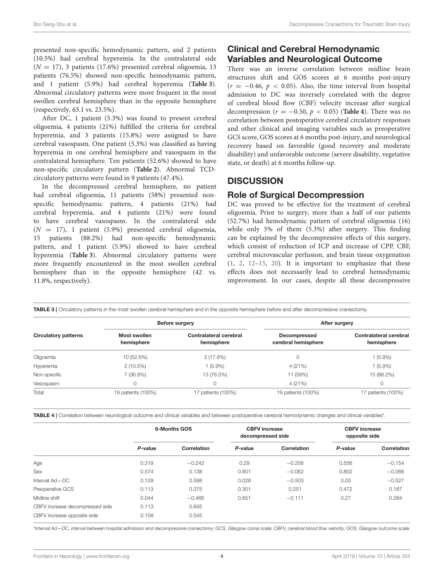presented non-specific hemodynamic pattern, and 2 patients (10.5%) had cerebral hyperemia. In the contralateral side  $(N = 17)$ , 3 patients (17.6%) presented cerebral oligoemia, 13 patients (76.5%) showed non-specific hemodynamic pattern, and 1 patient (5.9%) had cerebral hyperemia (**[Table 3](#page-3-0)**). Abnormal circulatory patterns were more frequent in the most swollen cerebral hemisphere than in the opposite hemisphere (respectively, 63.1 vs. 23.5%).

After DC, 1 patient (5.3%) was found to present cerebral oligoemia, 4 patients (21%) fulfilled the criteria for cerebral hyperemia, and 3 patients (15.8%) were assigned to have cerebral vasospasm. One patient (5.3%) was classified as having hyperemia in one cerebral hemisphere and vasospasm in the contralateral hemisphere. Ten patients (52.6%) showed to have non-specific circulatory pattern (**[Table 2](#page-2-1)**). Abnormal TCDcirculatory patterns were found in 9 patients (47.4%).

In the decompressed cerebral hemisphere, no patient had cerebral oligoemia, 11 patients (58%) presented nonspecific hemodynamic pattern, 4 patients (21%) had cerebral hyperemia, and 4 patients (21%) were found to have cerebral vasospasm. In the contralateral side  $(N = 17)$ , 1 patient (5.9%) presented cerebral oligoemia, 15 patients (88.2%) had non-specific hemodynamic pattern, and 1 patient (5.9%) showed to have cerebral hyperemia (**[Table 3](#page-3-0)**). Abnormal circulatory patterns were more frequently encountered in the most swollen cerebral hemisphere than in the opposite hemisphere (42 vs. 11.8%, respectively).

#### Clinical and Cerebral Hemodynamic Variables and Neurological Outcome

There was an inverse correlation between midline brain structures shift and GOS scores at 6 months post-injury  $(r = -0.46, p < 0.05)$ . Also, the time interval from hospital admission to DC was inversely correlated with the degree of cerebral blood flow (CBF) velocity increase after surgical decompression ( $r = -0.50$ ,  $p < 0.05$ ) (**[Table 4](#page-3-1)**). There was no correlation between postoperative cerebral circulatory responses and other clinical and imaging variables such as preoperative GCS score, GOS scores at 6 months post-injury, and neurological recovery based on favorable (good recovery and moderate disability) and unfavorable outcome (severe disability, vegetative state, or death) at 6 months follow-up.

#### **DISCUSSION**

#### Role of Surgical Decompression

DC was proved to be effective for the treatment of cerebral oligoemia. Prior to surgery, more than a half of our patients (52.7%) had hemodynamic pattern of cerebral oligoemia (16) while only 5% of them (5.3%) after surgery. This finding can be explained by the decompressive effects of this surgery, which consist of reduction of ICP and increase of CPP, CBF, cerebral microvascular perfusion, and brain tissue oxygenation [\(1,](#page-5-0) [2,](#page-5-1) [12](#page-5-8)[–15,](#page-6-0) [20\)](#page-6-4). It is important to emphasize that these effects does not necessarily lead to cerebral hemodynamic improvement. In our cases, despite all these decompressive

| Circulatory patterns |                            | Before surgery                       | After surgery                              |                                      |  |
|----------------------|----------------------------|--------------------------------------|--------------------------------------------|--------------------------------------|--|
|                      | Most swollen<br>hemisphere | Contralateral cerebral<br>hemisphere | <b>Decompressed</b><br>cerebral hemisphere | Contralateral cerebral<br>hemisphere |  |
| Oligoemia            | 10 (52.6%)                 | 3(17.6%)                             |                                            | $1(5.9\%)$                           |  |
| Hyperemia            | 2(10.5%)                   | $1(5.9\%)$                           | 4(21%)                                     | $1(5.9\%)$                           |  |
| Non-specific         | 7 (36.9%)                  | 13 (76.5%)                           | 11 (58%)                                   | 15 (88.2%)                           |  |
| Vasospasm            | 0                          | 0                                    | 4 (21%)                                    | 0                                    |  |
| Total                | 19 patients (100%)         | 17 patients (100%)                   | 19 patients (100%)                         | 17 patients (100%)                   |  |

<span id="page-3-0"></span>TABLE 3 | Circulatory patterns in the most swollen cerebral hemisphere and in the opposite hemisphere before and after decompressive craniectomy.

<span id="page-3-1"></span>TABLE 4 | Correlation between neurological outcome and clinical variables and between postoperative cerebral hemodynamic changes and clinical variables\*.

|                                 | 6-Months GOS |             | <b>CBFV</b> increase<br>decompressed side |             | <b>CBFV</b> increase<br>opposite side |             |
|---------------------------------|--------------|-------------|-------------------------------------------|-------------|---------------------------------------|-------------|
|                                 | P-value      | Correlation | P-value                                   | Correlation | P-value                               | Correlation |
| Age                             | 0.319        | $-0.242$    | 0.29                                      | $-0.256$    | 0.556                                 | $-0.154$    |
| Sex                             | 0.574        | 0.138       | 0.801                                     | $-0.062$    | 0.802                                 | $-0.066$    |
| Interval Ad-DC                  | 0.129        | 0.598       | 0.028                                     | $-0.503$    | 0.03                                  | $-0.527$    |
| Preoperative GCS                | 0.113        | 0.375       | 0.301                                     | 0.251       | 0.472                                 | 0.187       |
| Midline shift                   | 0.044        | $-0.466$    | 0.651                                     | $-0.111$    | 0.27                                  | 0.284       |
| CBFV increase decompressed side | 0.113        | 0.645       |                                           |             |                                       |             |
| CBFV increase opposite side     | 0.158        | 0.545       |                                           |             |                                       |             |

\*Interval Ad—DC, interval between hospital admission and decompressive craniectomy; GCS, Glasgow coma scale; CBFV, cerebral blood flow velocity; GOS, Glasgow outcome scale.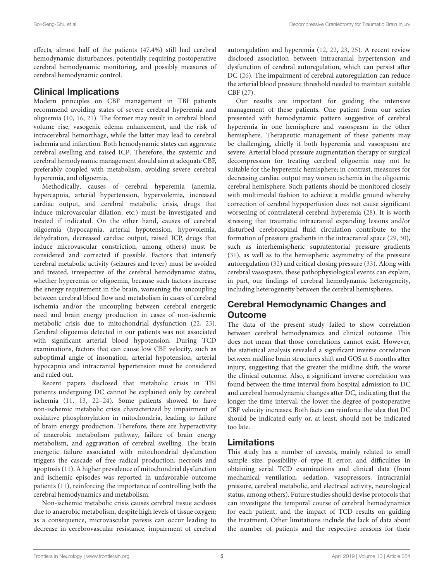effects, almost half of the patients (47.4%) still had cerebral hemodynamic disturbances, potentially requiring postoperative cerebral hemodynamic monitoring, and possibly measures of cerebral hemodynamic control.

#### Clinical Implications

Modern principles on CBF management in TBI patients recommend avoiding states of severe cerebral hyperemia and oligoemia [\(10,](#page-5-7) [16,](#page-6-1) [21\)](#page-6-5). The former may result in cerebral blood volume rise, vasogenic edema enhancement, and the risk of intracerebral hemorrhage, while the latter may lead to cerebral ischemia and infarction. Both hemodynamic states can aggravate cerebral swelling and raised ICP. Therefore, the systemic and cerebral hemodynamic management should aim at adequate CBF, preferably coupled with metabolism, avoiding severe cerebral hyperemia, and oligoemia.

Methodically, causes of cerebral hyperemia (anemia, hypercapnia, arterial hypertension, hypervolemia, increased cardiac output, and cerebral metabolic crisis, drugs that induce microvascular dilation, etc.) must be investigated and treated if indicated. On the other hand, causes of cerebral oligoemia (hypocapnia, arterial hypotension, hypovolemia, dehydration, decreased cardiac output, raised ICP, drugs that induce microvascular constriction, among others) must be considered and corrected if possible. Factors that intensify cerebral metabolic activity (seizures and fever) must be avoided and treated, irrespective of the cerebral hemodynamic status, whether hyperemia or oligoemia, because such factors increase the energy requirement in the brain, worsening the uncoupling between cerebral blood flow and metabolism in cases of cerebral ischemia and/or the uncoupling between cerebral energetic need and brain energy production in cases of non-ischemic metabolic crisis due to mitochondrial dysfunction [\(22,](#page-6-6) [23\)](#page-6-7). Cerebral oligoemia detected in our patients was not associated with significant arterial blood hypotension. During TCD examinations, factors that can cause low CBF velocity, such as suboptimal angle of insonation, arterial hypotension, arterial hypocapnia and intracranial hypertension must be considered and ruled out.

Recent papers disclosed that metabolic crisis in TBI patients undergoing DC cannot be explained only by cerebral ischemia [\(11,](#page-5-9) [13,](#page-6-8) [22–](#page-6-6)[24\)](#page-6-9). Some patients showed to have non-ischemic metabolic crisis characterized by impairment of oxidative phosphorylation in mitochondria, leading to failure of brain energy production. Therefore, there are hyperactivity of anaerobic metabolism pathway, failure of brain energy metabolism, and aggravation of cerebral swelling. The brain energetic failure associated with mitochondrial dysfunction triggers the cascade of free radical production, necrosis and apoptosis [\(11\)](#page-5-9). A higher prevalence of mitochondrial dysfunction and ischemic episodes was reported in unfavorable outcome patients [\(11\)](#page-5-9), reinforcing the importance of controlling both the cerebral hemodynamics and metabolism.

Non-ischemic metabolic crisis causes cerebral tissue acidosis due to anaerobic metabolism, despite high levels of tissue oxygen; as a consequence, microvascular paresis can occur leading to decrease in cerebrovascular resistance, impairment of cerebral autoregulation and hyperemia [\(12,](#page-5-8) [22,](#page-6-6) [23,](#page-6-7) [25\)](#page-6-10). A recent review disclosed association between intracranial hypertension and dysfunction of cerebral autoregulation, which can persist after DC [\(26\)](#page-6-11). The impairment of cerebral autoregulation can reduce the arterial blood pressure threshold needed to maintain suitable CBF [\(27\)](#page-6-12).

Our results are important for guiding the intensive management of these patients. One patient from our series presented with hemodynamic pattern suggestive of cerebral hyperemia in one hemisphere and vasospasm in the other hemisphere. Therapeutic management of these patients may be challenging, chiefly if both hyperemia and vasospasm are severe. Arterial blood pressure augmentation therapy or surgical decompression for treating cerebral oligoemia may not be suitable for the hyperemic hemisphere; in contrast, measures for decreasing cardiac output may worsen ischemia in the oligoemic cerebral hemisphere. Such patients should be monitored closely with multimodal fashion to achieve a middle ground whereby correction of cerebral hypoperfusion does not cause significant worsening of contralateral cerebral hyperemia [\(28\)](#page-6-13). It is worth stressing that traumatic intracranial expanding lesions and/or disturbed cerebrospinal fluid circulation contribute to the formation of pressure gradients in the intracranial space [\(29,](#page-6-14) [30\)](#page-6-15), such as interhemispheric supratentorial pressure gradients [\(31\)](#page-6-16), as well as to the hemispheric asymmetry of the pressure autoregulation [\(32\)](#page-6-17) and critical closing pressure [\(33\)](#page-6-18). Along with cerebral vasospasm, these pathophysiological events can explain, in part, our findings of cerebral hemodynamic heterogeneity, including heterogeneity between the cerebral hemispheres.

### Cerebral Hemodynamic Changes and **Outcome**

The data of the present study failed to show correlation between cerebral hemodynamics and clinical outcome. This does not mean that those correlations cannot exist. However, the statistical analysis revealed a significant inverse correlation between midline brain structures shift and GOS at 6 months after injury, suggesting that the greater the midline shift, the worse the clinical outcome. Also, a significant inverse correlation was found between the time interval from hospital admission to DC and cerebral hemodynamic changes after DC, indicating that the longer the time interval, the lower the degree of postoperative CBF velocity increases. Both facts can reinforce the idea that DC should be indicated early or, at least, should not be indicated too late.

#### Limitations

This study has a number of caveats, mainly related to small sample size, possibility of type II error, and difficulties in obtaining serial TCD examinations and clinical data (from mechanical ventilation, sedation, vasopressors, intracranial pressure, cerebral metabolic, and electrical activity, neurological status, among others). Future studies should devise protocols that can investigate the temporal course of cerebral hemodynamics for each patient, and the impact of TCD results on guiding the treatment. Other limitations include the lack of data about the number of patients and the respective reasons for their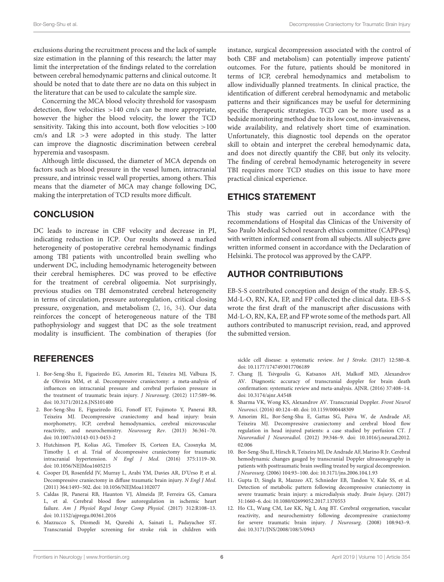exclusions during the recruitment process and the lack of sample size estimation in the planning of this research; the latter may limit the interpretation of the findings related to the correlation between cerebral hemodynamic patterns and clinical outcome. It should be noted that to date there are no data on this subject in the literature that can be used to calculate the sample size.

Concerning the MCA blood velocity threshold for vasospasm detection, flow velocities  $>140$  cm/s can be more appropriate, however the higher the blood velocity, the lower the TCD sensitivity. Taking this into account, both flow velocities >100  $cm/s$  and  $LR > 3$  were adopted in this study. The latter can improve the diagnostic discrimination between cerebral hyperemia and vasospasm.

Although little discussed, the diameter of MCA depends on factors such as blood pressure in the vessel lumen, intracranial pressure, and intrinsic vessel wall properties, among others. This means that the diameter of MCA may change following DC, making the interpretation of TCD results more difficult.

#### **CONCLUSION**

DC leads to increase in CBF velocity and decrease in PI, indicating reduction in ICP. Our results showed a marked heterogeneity of postoperative cerebral hemodynamic findings among TBI patients with uncontrolled brain swelling who underwent DC, including hemodynamic heterogeneity between their cerebral hemispheres. DC was proved to be effective for the treatment of cerebral oligoemia. Not surprisingly, previous studies on TBI demonstrated cerebral heterogeneity in terms of circulation, pressure autoregulation, critical closing pressure, oxygenation, and metabolism [\(2,](#page-5-1) [16,](#page-6-1) [34\)](#page-6-19). Our data reinforces the concept of heterogeneous nature of the TBI pathophysiology and suggest that DC as the sole treatment modality is insufficient. The combination of therapies (for

#### **REFERENCES**

- <span id="page-5-0"></span>1. Bor-Seng-Shu E, Figueiredo EG, Amorim RL, Teixeira MJ, Valbuza JS, de Oliveira MM, et al. Decompressive craniectomy: a meta-analysis of influences on intracranial pressure and cerebral perfusion pressure in the treatment of traumatic brain injury. J Neurosurg. (2012) 117:589–96. doi: [10.3171/2012.6.JNS101400](https://doi.org/10.3171/2012.6.JNS101400)
- <span id="page-5-1"></span>2. Bor-Seng-Shu E, Figueiredo EG, Fonoff ET, Fujimoto Y, Panerai RB, Teixeira MJ. Decompressive craniectomy and head injury: brain morphometry, ICP, cerebral hemodynamics, cerebral microvascular reactivity, and neurochemistry. Neurosurg Rev. (2013) 36:361–70. doi: [10.1007/s10143-013-0453-2](https://doi.org/10.1007/s10143-013-0453-2)
- <span id="page-5-2"></span>3. Hutchinson PJ, Kolias AG, Timofeev IS, Corteen EA, Czosnyka M, Timothy J, et al. Trial of decompressive craniectomy for traumatic intracranial hypertension. N Engl J Med. (2016) 375:1119–30. doi: [10.1056/NEJMoa1605215](https://doi.org/10.1056/NEJMoa1605215)
- <span id="page-5-3"></span>4. Cooper DJ, Rosenfeld JV, Murray L, Arabi YM, Davies AR, D'Urso P, et al. Decompressive craniectomy in diffuse traumatic brain injury. N Engl J Med. (2011) 364:1493–502. doi: [10.1056/NEJMoa1102077](https://doi.org/10.1056/NEJMoa1102077)
- <span id="page-5-4"></span>5. Caldas JR, Panerai RB, Haunton VJ, Almeida JP, Ferreira GS, Camara L, et al. Cerebral blood flow autoregulation in ischemic heart failure. Am J Physiol Regul Integr Comp Physiol. (2017) 312:R108–13. doi: [10.1152/ajpregu.00361.2016](https://doi.org/10.1152/ajpregu.00361.2016)
- 6. Mazzucco S, Diomedi M, Qureshi A, Sainati L, Padayachee ST. Transcranial Doppler screening for stroke risk in children with

instance, surgical decompression associated with the control of both CBF and metabolism) can potentially improve patients' outcomes. For the future, patients should be monitored in terms of ICP, cerebral hemodynamics and metabolism to allow individually planned treatments. In clinical practice, the identification of different cerebral hemodynamic and metabolic patterns and their significances may be useful for determining specific therapeutic strategies. TCD can be more used as a bedside monitoring method due to its low cost, non-invasiveness, wide availability, and relatively short time of examination. Unfortunately, this diagnostic tool depends on the operator skill to obtain and interpret the cerebral hemodynamic data, and does not directly quantify the CBF, but only its velocity. The finding of cerebral hemodynamic heterogeneity in severe TBI requires more TCD studies on this issue to have more practical clinical experience.

#### ETHICS STATEMENT

This study was carried out in accordance with the recommendations of Hospital das Clinicas of the University of Sao Paulo Medical School research ethics committee (CAPPesq) with written informed consent from all subjects. All subjects gave written informed consent in accordance with the Declaration of Helsinki. The protocol was approved by the CAPP.

#### AUTHOR CONTRIBUTIONS

EB-S-S contributed conception and design of the study. EB-S-S, Md-L-O, RN, KA, EP, and FP collected the clinical data. EB-S-S wrote the first draft of the manuscript after discussions with Md-L-O, RN, KA, EP, and FP wrote some of the methods part. All authors contributed to manuscript revision, read, and approved the submitted version.

sickle cell disease: a systematic review. Int J Stroke. (2017) 12:580–8. doi: [10.1177/1747493017706189](https://doi.org/10.1177/1747493017706189)

- 7. Chang JJ, Tsivgoulis G, Katsanos AH, Malkoff MD, Alexandrov AV. Diagnostic accuracy of transcranial doppler for brain death confirmation: systematic review and meta-analysis. AJNR. (2016) 37:408–14. doi: [10.3174/ajnr.A4548](https://doi.org/10.3174/ajnr.A4548)
- <span id="page-5-5"></span>8. Sharma VK, Wong KS, Alexandrov AV. Transcranial Doppler. Front Neurol Neurosci. (2016) 40:124–40. doi: [10.1159/000448309](https://doi.org/10.1159/000448309)
- <span id="page-5-6"></span>9. Amorim RL, Bor-Seng-Shu E, Gattas SG, Paiva W, de Andrade AF, Teixeira MJ. Decompressive craniectomy and cerebral blood flow regulation in head injured patients: a case studied by perfusion CT. J Neuroradiol J Neuroradiol[. \(2012\) 39:346–9. doi: 10.1016/j.neurad.2012.](https://doi.org/10.1016/j.neurad.2012.02.006) 02.006
- <span id="page-5-7"></span>10. Bor-Seng-Shu E, Hirsch R, Teixeira MJ, De Andrade AF, Marino R Jr. Cerebral hemodynamic changes gauged by transcranial Doppler ultrasonography in patients with posttraumatic brain swelling treated by surgical decompression. J Neurosurg. (2006) 104:93–100. doi: [10.3171/jns.2006.104.1.93](https://doi.org/10.3171/jns.2006.104.1.93)
- <span id="page-5-9"></span>11. Gupta D, Singla R, Mazzeo AT, Schnieder EB, Tandon V, Kale SS, et al. Detection of metabolic pattern following decompressive craniectomy in severe traumatic brain injury: a microdialysis study. Brain Injury. (2017) 31:1660–6. doi: [10.1080/02699052.2017.1370553](https://doi.org/10.1080/02699052.2017.1370553)
- <span id="page-5-8"></span>12. Ho CL, Wang CM, Lee KK, Ng I, Ang BT. Cerebral oxygenation, vascular reactivity, and neurochemistry following decompressive craniectomy for severe traumatic brain injury. J Neurosurg. (2008) 108:943–9. doi: [10.3171/JNS/2008/108/5/0943](https://doi.org/10.3171/JNS/2008/108/5/0943)